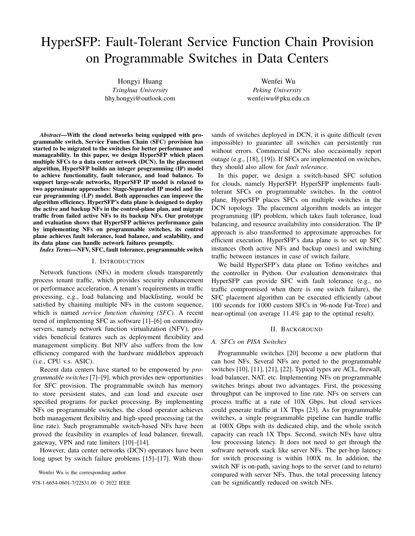# HyperSFP: Fault-Tolerant Service Function Chain Provision on Programmable Switches in Data Centers

Hongyi Huang *Tsinghua University* hhy.hongyi@outlook.com

Wenfei Wu *Peking University* wenfeiwu@pku.edu.cn

*Abstract*—With the cloud networks being equipped with programmable switch, Service Function Chain (SFC) provision has started to be migrated to the switches for better performance and manageability. In this paper, we design HyperSFP which places multiple SFCs to a data center network (DCN). In the placement algorithm, HyperSFP builds an integer programming (IP) model to achieve functionality, fault tolerance, and load balance. To support large-scale networks, HyperSFP IP model is relaxed to two approximate approaches: Stage-Separated IP model and linear programming (LP) model. Both approaches can improve the algorithm efficiency. HyperSFP's data plane is designed to deploy the active and backup NFs in the control-plane plan, and migrate traffic from failed active NFs to its backup NFs. Our prototype and evaluation shows that HyperSFP achieves performance gain by implementing NFs on programmable switches, its control plane achieves fault tolerance, load balance, and scalability, and its data plane can handle network failures promptly.

*Index Terms*—NFV, SFC, fault tolerance, programmable switch

#### I. INTRODUCTION

Network functions (NFs) in modern clouds transparently process tenant traffic, which provides security enhancement or performance acceleration. A tenant's requirements in traffic processing, e.g., load balancing and blacklisting, would be satisfied by chaining multiple NFs in the custom sequence, which is named *service function chaining (SFC)*. A recent trend of implementing SFC as software [1]–[6] on commodity servers, namely network function virtualization (NFV), provides beneficial features such as deployment flexibility and management simplicity. But NFV also suffers from the low efficiency compared with the hardware middlebox approach (i.e., CPU v.s. ASIC).

Recent data centers have started to be empowered by *programmable switches* [7]–[9], which provides new opportunities for SFC provision. The programmable switch has memory to store persistent states, and can load and execute user specified programs for packet processing. By implementing NFs on programmable switches, the cloud operator achieves both management flexibility and high-speed processing (at the line rate). Such programmable switch-based NFs have been proved the feasibility in examples of load balancer, firewall, gateway, VPN and rate limiters [10]–[14].

However, data center networks (DCN) operators have been long upset by switch failure problems [15]–[17]. With thou-

Wenfei Wu is the corresponding author.

sands of switches deployed in DCN, it is quite difficult (even impossible) to guarantee all switches can persistently run without errors. Commercial DCNs also occasionally report outage (e.g., [18], [19]). If SFCs are implemented on switches, they should also allow for *fault tolerance*.

In this paper, we design a switch-based SFC solution for clouds, namely HyperSFP. HyperSFP implements faulttolerant SFCs on programmable switches. In the control plane, HyperSFP places SFCs on multiple switches in the DCN topology. The placement algorithm models an integer programming (IP) problem, which takes fault tolerance, load balancing, and resource availability into consideration. The IP approach is also transformed to approximate approaches for efficient execution. HyperSFP's data plane is to set up SFC instances (both active NFs and backup ones) and switching traffic between instances in case of switch failure.

We build HyperSFP's data plane on Tofino switches and the controller in Python. Our evaluation demonstrates that HyperSFP can provide SFC with fault tolerance (e.g., no traffic compromised when there is one switch failure), the SFC placement algorithm can be executed efficiently (about 100 seconds for 1000 custom SFCs in 96-node Fat-Tree) and near-optimal (on average 11.4% gap to the optimal result).

## II. BACKGROUND

## *A. SFCs on PISA Switches*

Programmable switches [20] become a new platform that can host NFs. Several NFs are ported to the programmable switches [10], [11], [21], [22]. Typical types are ACL, firewall, load balancer, NAT, etc. Implementing NFs on programmable switches brings about two advantages. First, the processing throughput can be improved to line rate. NFs on servers can process traffic at a rate of 10X Gbps, but cloud services could generate traffic at 1X Tbps [23]. As for programmable switches, a single programmable pipeline can handle traffic at 100X Gbps with its dedicated chip, and the whole switch capacity can reach 1X Tbps. Second, switch NFs have ultra low processing latency. It does not need to get through the software network stack like server NFs. The per-hop latency for switch processing is within 100X ns. In addition, the switch NF is on-path, saving hops to the server (and to return) compared with server NFs. Thus, the total processing latency 978-1-6654-0601-7/22\$31.00 © 2022 IEEE can be significantly reduced on switch NFs.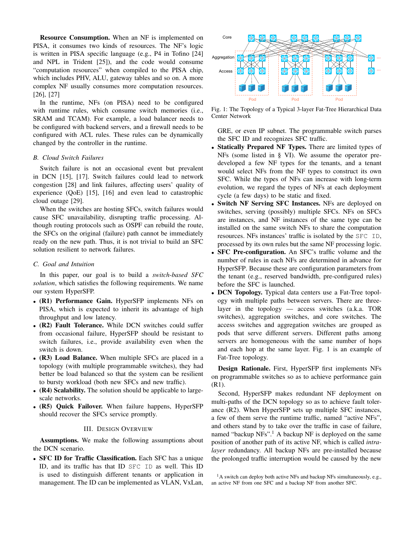Resource Consumption. When an NF is implemented on PISA, it consumes two kinds of resources. The NF's logic is written in PISA specific language (e.g., P4 in Tofino [24] and NPL in Trident [25]), and the code would consume "computation resources" when compiled to the PISA chip, which includes PHV, ALU, gateway tables and so on. A more complex NF usually consumes more computation resources. [26], [27]

In the runtime, NFs (on PISA) need to be configured with runtime rules, which consume switch memories (i.e., SRAM and TCAM). For example, a load balancer needs to be configured with backend servers, and a firewall needs to be configured with ACL rules. These rules can be dynamically changed by the controller in the runtime.

# *B. Cloud Switch Failures*

Switch failure is not an occasional event but prevalent in DCN [15], [17]. Switch failures could lead to network congestion [28] and link failures, affecting users' quality of experience (QoE) [15], [16] and even lead to catastrophic cloud outage [29].

When the switches are hosting SFCs, switch failures would cause SFC unavailability, disrupting traffic processing. Although routing protocols such as OSPF can rebuild the route, the SFCs on the original (failure) path cannot be immediately ready on the new path. Thus, it is not trivial to build an SFC solution resilient to network failures.

# *C. Goal and Intuition*

In this paper, our goal is to build a *switch-based SFC solution*, which satisfies the following requirements. We name our system HyperSFP.

- (R1) Performance Gain. HyperSFP implements NFs on PISA, which is expected to inherit its advantage of high throughput and low latency.
- (R2) Fault Tolerance. While DCN switches could suffer from occasional failure, HyperSFP should be resistant to switch failures, i.e., provide availability even when the switch is down.
- (R3) Load Balance. When multiple SFCs are placed in a topology (with multiple programmable switches), they had better be load balanced so that the system can be resilient to bursty workload (both new SFCs and new traffic).
- (R4) Scalability. The solution should be applicable to largescale networks.
- (R5) Quick Failover. When failure happens, HyperSFP should recover the SFCs service promptly.

# III. DESIGN OVERVIEW

Assumptions. We make the following assumptions about the DCN scenario.

• SFC ID for Traffic Classification. Each SFC has a unique ID, and its traffic has that ID SFC ID as well. This ID is used to distinguish different tenants or application in management. The ID can be implemented as VLAN, VxLan,



Fig. 1: The Topology of a Typical 3-layer Fat-Tree Hierarchical Data Center Network

GRE, or even IP subnet. The programmable switch parses the SFC ID and recognizes SFC traffic.

- Statically Prepared NF Types. There are limited types of NFs (some listed in § VI). We assume the operator predeveloped a few NF types for the tenants, and a tenant would select NFs from the NF types to construct its own SFC. While the types of NFs can increase with long-term evolution, we regard the types of NFs at each deployment cycle (a few days) to be static and fixed.
- Switch NF Serving SFC Instances. NFs are deployed on switches, serving (possibly) multiple SFCs. NFs on SFCs are instances, and NF instances of the same type can be installed on the same switch NFs to share the computation resources. NFs instances' traffic is isolated by the SFC ID, processed by its own rules but the same NF processing logic.
- SFC Pre-configuration. An SFC's traffic volume and the number of rules in each NFs are determined in advance for HyperSFP. Because these are configuration parameters from the tenant (e.g., reserved bandwidth, pre-configured rules) before the SFC is launched.
- **DCN Topology.** Typical data centers use a Fat-Tree topology with multiple paths between servers. There are threelayer in the topology — access switches (a.k.a. TOR switches), aggregation switches, and core switches. The access switches and aggregation switches are grouped as pods that serve different servers. Different paths among servers are homogeneous with the same number of hops and each hop at the same layer. Fig. 1 is an example of Fat-Tree topology.

Design Rationale. First, HyperSFP first implements NFs on programmable switches so as to achieve performance gain (R1).

Second, HyperSFP makes redundant NF deployment on multi-paths of the DCN topology so as to achieve fault tolerance (R2). When HyperSFP sets up multiple SFC instances, a few of them serve the runtime traffic, named "active NFs", and others stand by to take over the traffic in case of failure, named "backup NFs".<sup>1</sup> A backup NF is deployed on the same position of another path of its active NF, which is called *intralayer* redundancy. All backup NFs are pre-installed because the prolonged traffic interruption would be caused by the new

 $<sup>1</sup>A$  switch can deploy both active NFs and backup NFs simultaneously, e.g.,</sup> an active NF from one SFC and a backup NF from another SFC.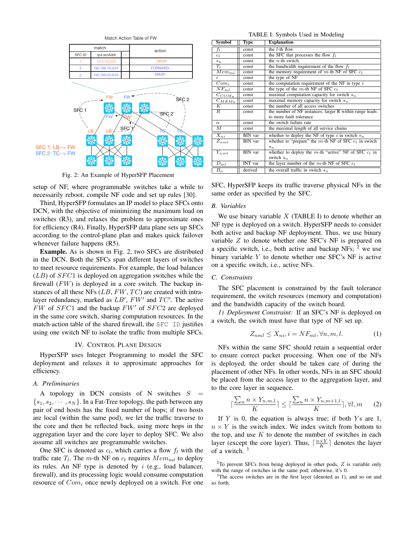

Fig. 2: An Example of HyperSFP Placement

setup of NF, where programmable switches take a while to necessarily reboot, compile NF code and set up rules [30].

Third, HyperSFP formulates an IP model to place SFCs onto DCN, with the objective of minimizing the maximum load on switches (R3), and relaxes the problem to approximate ones for efficiency (R4). Finally, HyperSFP data plane sets up SFCs according to the control-plane plan and makes quick failover whenever failure happens  $(R5)$ .

Example. As is shown in Fig. 2, two SFCs are distributed in the DCN. Both the SFCs span different layers of switches to meet resource requirements. For example, the load balancer  $(LB)$  of  $SFC1$  is deployed on aggregation switches while the firewall  $(FW)$  is deployed in a core switch. The backup instances of all these NFs  $(LB, FW, TC)$  are created with intralayer redundancy, marked as  $LB'$ ,  $FW'$  and  $TC'$ . The active  $FW$  of  $SFC1$  and the backup  $FW'$  of  $SFC2$  are deployed in the same core switch, sharing computation resources. In the match-action table of the shared firewall, the SFC ID justifies using one switch NF to isolate the traffic from multiple SFCs.

# IV. CONTROL PLANE DESIGN

HyperSFP uses Integer Programming to model the SFC deployment and relaxes it to approximate approaches for efficiency.

## *A. Preliminaries*

A topology in DCN consists of N switches  $S =$  $\{s_1, s_2, \dots, s_N\}$ . In a Fat-Tree topology, the path between any pair of end hosts has the fixed number of hops; if two hosts are local (within the same pod), we let the traffic traverse to the core and then be reflected back, using more hops in the aggregation layer and the core layer to deploy SFC. We also assume all switches are programmable switches.

One SFC is denoted as  $c_l$ , which carries a flow  $f_l$  with the traffic rate  $T_l$ . The m-th NF on  $c_l$  requires  $Mem_{ml}$  to deploy its rules. An NF type is denoted by  $i$  (e.g., load balancer, firewall), and its processing logic would consume computation resource of  $Com_i$  once newly deployed on a switch. For one

TABLE I: Symbols Used in Modeling

| Symbol               | Type           | <b>Explanation</b>                                         |
|----------------------|----------------|------------------------------------------------------------|
| $f_l$                | const          | the $l$ -th flow                                           |
| $c_l$                | const          | the SFC that processes the flow $f_l$                      |
| $s_n$                | const          | the $n$ -th switch                                         |
| $T_l$                | const          | the bandwidth requirement of the flow $f_l$                |
| $Mem_{ml}$           | const          | the memory requirement of $m$ -th NF of SFC $c_l$          |
| $\overline{i}$       | const          | the type of NF                                             |
| $Com_i$              | const          | the computation requirement of the NF in type $i$          |
| $\overline{N}F_{ml}$ | const          | the type of the $m$ -th NF of SFC $c_l$                    |
| $C_{COM_n}$          | const          | maximal computation capacity for switch $s_n$              |
| $C_{MEMn}$           | const          | maximal memory capacity for switch $s_n$                   |
| K                    | const          | the number of all access switches                          |
| $_{R}$               | const          | the number of NF instances; larger R within range leads    |
|                      |                | to more fault tolerance                                    |
| $\alpha$             | const          | the switch failure rate                                    |
| $\overline{M}$       | const          | the maximal length of all service chains                   |
| $X_{ni}$             | BIN var        | whether to deploy the NF of type i in switch $s_n$         |
| $Z_{nml}$            | BIN var        | whether to "prepare" the $m$ -th NF of SFC $c_l$ in switch |
|                      |                | $s_n$                                                      |
| $Y_{nml}$            | BIN var        | whether to deploy the $m$ -th "active" NF of SFC $c_l$ in  |
|                      |                | switch $s_n$                                               |
| $D_{ml}$             | <b>INT</b> var | the layer number of the $m$ -th NF of SFC $c_l$            |
| $B_n$                | derived        | the overall traffic in switch $s_n$                        |

SFC, HyperSFP keeps its traffic traverse physical NFs in the same order as specified by the SFC.

# *B. Variables*

We use binary variable  $X$  (TABLE I) to denote whether an NF type is deployed on a switch. HyperSFP needs to consider both active and backup NF deployment. Thus, we use binary variable Z to denote whether one SFC's NF is prepared on a specific switch, i.e., both active and backup NFs;  $2$  we use binary variable  $Y$  to denote whether one SFC's NF is active on a specific switch, i.e., active NFs.

# *C. Constraints*

The SFC placement is constrained by the fault tolerance requirement, the switch resources (memory and computation) and the bandwidth capacity of the switch board.

*1) Deployment Constraint:* If an SFC's NF is deployed on a switch, the switch must have that type of NF set up.

$$
Z_{nml} \le X_{ni}, i = NF_{ml}, \forall n, m, l. \tag{1}
$$

NFs within the same SFC should retain a sequential order to ensure correct packet processing. When one of the NFs is deployed, the order should be taken care of during the placement of other NFs. In other words, NFs in an SFC should be placed from the access layer to the aggregation layer, and to the core layer in sequence.

$$
\lceil \frac{\sum_{n} n \times Y_{n,m,l}}{K} \rceil \leq \lceil \frac{\sum_{n} n \times Y_{n,m+1,l}}{K} \rceil, \forall l, m \qquad (2)
$$

If  $Y$  is 0, the equation is always true; if both  $Y_s$  are 1,  $n \times Y$  is the switch index. We index switch from bottom to the top, and use  $K$  to denote the number of switches in each layer (except the core layer). Thus,  $\lceil \frac{n \times Y}{K} \rceil$  denotes the layer of a switch. <sup>3</sup>

 $2$ To prevent SFCs from being deployed in other pods,  $Z$  is variable only with the range of switches in the same pod; otherwise, it's 0.

<sup>&</sup>lt;sup>3</sup>The access switches are in the first layer (denoted as 1), and so on and so forth.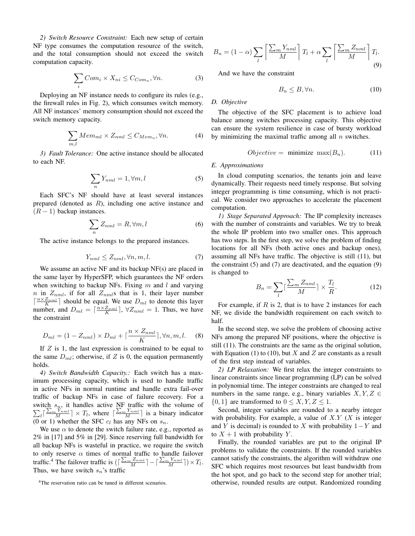*2) Switch Resource Constraint:* Each new setup of certain NF type consumes the computation resource of the switch, and the total consumption should not exceed the switch computation capacity.

$$
\sum_{i} Com_i \times X_{ni} \leq C_{Com_n}, \forall n. \tag{3}
$$

Deploying an NF instance needs to configure its rules (e.g., the firewall rules in Fig. 2), which consumes switch memory. All NF instances' memory consumption should not exceed the switch memory capacity.

$$
\sum_{m,l} Mem_{ml} \times Z_{nml} \leq C_{Mem_n}, \forall n. \tag{4}
$$

*3) Fault Tolerance:* One active instance should be allocated to each NF.

$$
\sum_{n} Y_{nml} = 1, \forall m, l \tag{5}
$$

Each SFC's NF should have at least several instances prepared (denoted as  $R$ ), including one active instance and  $(R - 1)$  backup instances.

$$
\sum_{n} Z_{nml} = R, \forall m, l \tag{6}
$$

The active instance belongs to the prepared instances.

$$
Y_{nml} \le Z_{nml}, \forall n, m, l. \tag{7}
$$

We assume an active NF and its backup NF(s) are placed in the same layer by HyperSFP, which guarantees the NF orders when switching to backup NFs. Fixing  $m$  and  $l$  and varying n in  $Z_{nml}$ , if for all  $Z_{nml}$ s that is 1, their layer number  $\lceil \frac{n \times Z_{nml}}{K} \rceil$  should be equal. We use  $D_{ml}$  to denote this layer number, and  $D_{ml} = \lceil \frac{n \times Z_{nml}}{K} \rceil$ ,  $\forall Z_{nml} = 1$ . Thus, we have the constraint

$$
D_{ml} = (1 - Z_{nml}) \times D_{ml} + \lceil \frac{n \times Z_{nml}}{K} \rceil, \forall n, m, l. \tag{8}
$$

If  $Z$  is 1, the last expression is constrained to be equal to the same  $D_{ml}$ ; otherwise, if Z is 0, the equation permanently holds.

*4) Switch Bandwidth Capacity.:* Each switch has a maximum processing capacity, which is used to handle traffic in active NFs in normal runtime and handle extra fail-over traffic of backup NFs in case of failure recovery. For a P switch  $s_n$ , it handles active NF traffic with the volume of  $\sqrt[n]{\frac{\sum_m Y_{nml}}{M}} \geq T_l$ , where  $\lceil \frac{\sum_m Y_{nml}}{M} \rceil$  is a binary indicator (0 or 1) whether the SFC  $c_l$  has any NFs on  $s_n$ .

We use  $\alpha$  to denote the switch failure rate, e.g., reported as 2% in [17] and 5% in [29]. Since reserving full bandwidth for all backup NFs is wasteful in practice, we require the switch to only reserve  $\alpha$  times of normal traffic to handle failover traffic.<sup>4</sup> The failover traffic is  $(\lceil \frac{\sum_m Z_{nml}}{M} \rceil - \lceil \frac{\sum_m Y_{nml}}{M} \rceil) \times T_l$ . Thus, we have switch  $s_n$ 's traffic

$$
B_n = (1 - \alpha) \sum_{l} \left[ \frac{\sum_{m} Y_{nml}}{M} \right] T_l + \alpha \sum_{l} \left[ \frac{\sum_{m} Z_{nml}}{M} \right] T_l.
$$
\n(9)

And we have the constraint

$$
B_n \le B, \forall n. \tag{10}
$$

## *D. Objective*

The objective of the SFC placement is to achieve load balance among switches processing capacity. This objective can ensure the system resilience in case of bursty workload by minimizing the maximal traffic among all  $n$  switches.

$$
Objective = \text{minimize } \max(B_n). \tag{11}
$$

#### *E. Approximations*

In cloud computing scenarios, the tenants join and leave dynamically. Their requests need timely response. But solving integer programming is time consuming, which is not practical. We consider two approaches to accelerate the placement computation.

*1) Stage Separated Approach:* The IP complexity increases with the number of constraints and variables. We try to break the whole IP problem into two smaller ones. This approach has two steps. In the first step, we solve the problem of finding locations for all NFs (both active ones and backup ones), assuming all NFs have traffic. The objective is still (11), but the constraint  $(5)$  and  $(7)$  are deactivated, and the equation  $(9)$ is changed to

$$
B_n = \sum_{l} \lceil \frac{\sum_{m} Z_{nml}}{M} \rceil \times \frac{T_l}{R}.
$$
 (12)

For example, if  $R$  is 2, that is to have 2 instances for each NF, we divide the bandwidth requirement on each switch to half.

In the second step, we solve the problem of choosing active NFs among the prepared NF positions, where the objective is still (11). The constraints are the same as the original solution, with Equation (1) to (10), but X and Z are constants as a result of the first step instead of variables.

*2) LP Relaxation:* We first relax the integer constraints to linear constraints since linear programming (LP) can be solved in polynomial time. The integer constraints are changed to real numbers in the same range, e.g., binary variables  $X, Y, Z \in$  ${0, 1}$  are transformed to  $0 \le X, Y, Z \le 1$ .

Second, integer variables are rounded to a nearby integer with probability. For example, a value of  $X.Y$  (X is integer and Y is decimal) is rounded to X with probability  $1-Y$  and to  $X + 1$  with probability Y.

Finally, the rounded variables are put to the original IP problems to validate the constraints. If the rounded variables cannot satisfy the constraints, the algorithm will withdraw one SFC which requires most resources but least bandwidth from the hot spot, and go back to the second step for another trial; otherwise, rounded results are output. Randomized rounding

<sup>&</sup>lt;sup>4</sup>The reservation ratio can be tuned in different scenarios.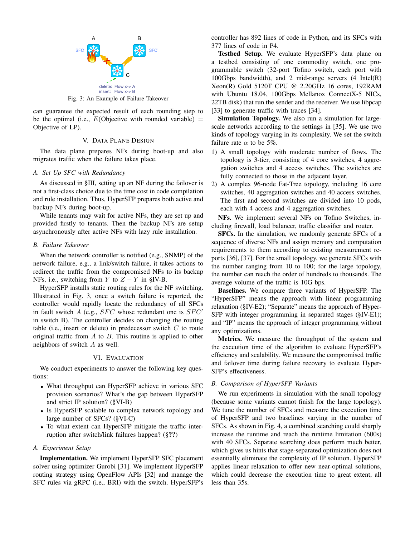

Fig. 3: An Example of Failure Takeover

can guarantee the expected result of each rounding step to be the optimal (i.e.,  $E(\text{Objective with rounded variable})$  = Objective of LP).

# V. DATA PLANE DESIGN

The data plane prepares NFs during boot-up and also migrates traffic when the failure takes place.

## *A. Set Up SFC with Redundancy*

As discussed in §III, setting up an NF during the failover is not a first-class choice due to the time cost in code compilation and rule installation. Thus, HyperSFP prepares both active and backup NFs during boot-up.

While tenants may wait for active NFs, they are set up and provided firstly to tenants. Then the backup NFs are setup asynchronously after active NFs with lazy rule installation.

# *B. Failure Takeover*

When the network controller is notified (e.g., SNMP) of the network failure, e.g., a link/switch failure, it takes actions to redirect the traffic from the compromised NFs to its backup NFs, i.e., switching from Y to  $Z - Y$  in §IV-B.

HyperSFP installs static routing rules for the NF switching. Illustrated in Fig. 3, once a switch failure is reported, the controller would rapidly locate the redundancy of all SFCs in fault switch  $A$  (e.g.,  $SFC$  whose redundant one is  $SFC'$ in switch B). The controller decides on changing the routing table (i.e., insert or delete) in predecessor switch  $C$  to route original traffic from  $A$  to  $B$ . This routine is applied to other neighbors of switch A as well.

# VI. EVALUATION

We conduct experiments to answer the following key questions:

- What throughput can HyperSFP achieve in various SFC provision scenarios? What's the gap between HyperSFP and strict IP solution? (§VI-B)
- Is HyperSFP scalable to complex network topology and large number of SFCs? (§VI-C)
- To what extent can HyperSFP mitigate the traffic interruption after switch/link failures happen? (§??)

## *A. Experiment Setup*

Implementation. We implement HyperSFP SFC placement solver using optimizer Gurobi [31]. We implement HyperSFP routing strategy using OpenFlow APIs [32] and manage the SFC rules via gRPC (i.e., BRI) with the switch. HyperSFP's controller has 892 lines of code in Python, and its SFCs with 377 lines of code in P4.

Testbed Setup. We evaluate HyperSFP's data plane on a testbed consisting of one commodity switch, one programmable switch (32-port Tofino switch, each port with 100Gbps bandwidth), and 2 mid-range servers (4 Intel(R) Xeon(R) Gold 5120T CPU @ 2.20GHz 16 cores, 192RAM with Ubuntu 18.04, 100Gbps Mellanox ConnectX-5 NICs, 22TB disk) that run the sender and the receiver. We use libpcap [33] to generate traffic with traces [34].

Simulation Topology. We also run a simulation for largescale networks according to the settings in [35]. We use two kinds of topology varying in its complexity. We set the switch failure rate  $\alpha$  to be 5%.

- 1) A small topology with moderate number of flows. The topology is 3-tier, consisting of 4 core switches, 4 aggregation switches and 4 access switches. The switches are fully connected to those in the adjacent layer.
- 2) A complex 96-node Fat-Tree topology, including 16 core switches, 40 aggregation switches and 40 access switches. The first and second switches are divided into 10 pods, each with 4 access and 4 aggregation switches.

NFs. We implement several NFs on Tofino Switches, including firewall, load balancer, traffic classifier and router.

SFCs. In the simulation, we randomly generate SFCs of a sequence of diverse NFs and assign memory and computation requirements to them according to existing measurement reports [36], [37]. For the small topology, we generate SFCs with the number ranging from 10 to 100; for the large topology, the number can reach the order of hundreds to thousands. The average volume of the traffic is 10G bps.

Baselines. We compare three variants of HyperSFP. The "HyperSFP" means the approach with linear programming relaxation (§IV-E2); "Separate" means the approach of Hyper-SFP with integer programming in separated stages (§IV-E1); and "IP" means the approach of integer programming without any optimizations.

Metrics. We measure the throughput of the system and the execution time of the algorithm to evaluate HyperSFP's efficiency and scalability. We measure the compromised traffic and failover time during failure recovery to evaluate Hyper-SFP's effectiveness.

## *B. Comparison of HyperSFP Variants*

We run experiments in simulation with the small topology (because some variants cannot finish for the large topology). We tune the number of SFCs and measure the execution time of HyperSFP and two baselines varying in the number of SFCs. As shown in Fig. 4, a combined searching could sharply increase the runtime and reach the runtime limitation (600s) with 40 SFCs. Separate searching does perform much better, which gives us hints that stage-separated optimization does not essentially eliminate the complexity of IP solution. HyperSFP applies linear relaxation to offer new near-optimal solutions, which could decrease the execution time to great extent, all less than 35s.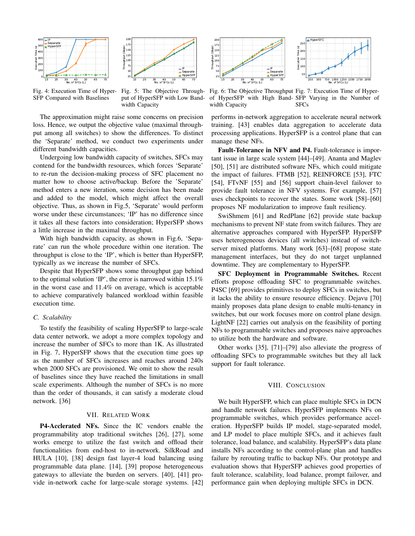



Fig. 4: Execution Time of Hyper-SFP Compared with Baselines

Fig. 5: The Objective Throughput of HyperSFP with Low Bandwidth Capacity

The approximation might raise some concerns on precision loss. Hence, we output the objective value (maximal throughput among all switches) to show the differences. To distinct the 'Separate' method, we conduct two experiments under different bandwidth capacities.

Undergoing low bandwidth capacity of switches, SFCs may contend for the bandwidth resources, which forces 'Separate' to re-run the decision-making process of SFC placement no matter how to choose active/backup. Before the 'Separate' method enters a new iteration, some decision has been made and added to the model, which might affect the overall objective. Thus, as shown in Fig.5, 'Separate' would perform worse under these circumstances; 'IP' has no difference since it takes all these factors into consideration; HyperSFP shows a little increase in the maximal throughput.

With high bandwidth capacity, as shown in Fig.6, 'Separate' can run the whole procedure within one iteration. The throughput is close to the 'IP', which is better than HyperSFP, typically as we increase the number of SFCs.

Despite that HyperSFP shows some throughput gap behind to the optimal solution 'IP', the error is narrowed within 15.1% in the worst case and 11.4% on average, which is acceptable to achieve comparatively balanced workload within feasible execution time.

## *C. Scalability*

To testify the feasibility of scaling HyperSFP to large-scale data center network, we adopt a more complex topology and increase the number of SFCs to more than 1K. As illustrated in Fig. 7, HyperSFP shows that the execution time goes up as the number of SFCs increases and reaches around 240s when 2000 SFCs are provisioned. We omit to show the result of baselines since they have reached the limitations in small scale experiments. Although the number of SFCs is no more than the order of thousands, it can satisfy a moderate cloud network. [36]

# VII. RELATED WORK

P4-Acclerated NFs. Since the IC vendors enable the programmability atop traditional switches [26], [27], some works emerge to utilize the fast switch and offload their functionalities from end-host to in-network. SilkRoad and HULA [10], [38] design fast layer-4 load balancing using programmable data plane. [14], [39] propose heterogeneous gateways to alleviate the burden on servers. [40], [41] provide in-network cache for large-scale storage systems. [42]



Fig. 6: The Objective Throughput Fig. 7: Execution Time of Hyperof HyperSFP with High Band-SFP Varying in the Number of width Capacity SFCs

performs in-network aggregation to accelerate neural network training. [43] enables data aggregation to accelerate data processing applications. HyperSFP is a control plane that can manage these NFs.

Fault-Tolerance in NFV and P4. Fault-tolerance is important issue in large scale system [44]–[49]. Ananta and Maglev [50], [51] are distributed software NFs, which could mitigate the impact of failures. FTMB [52], REINFORCE [53], FTC [54], FTvNF [55] and [56] support chain-level failover to provide fault tolerance in NFV systems. For example, [57] uses checkpoints to recover the states. Some work [58]–[60] proposes NF modularization to improve fault resiliency.

SwiShmem [61] and RedPlane [62] provide state backup mechanisms to prevent NF state from switch failures. They are alternative approaches compared with HyperSFP. HyperSFP uses heterogeneous devices (all switches) instead of switchserver mixed platforms. Many work [63]–[68] propose state management interfaces, but they do not target unplanned downtime. They are complementary to HyperSFP.

SFC Deployment in Programmable Switches. Recent efforts propose offloading SFC to programmable switches. P4SC [69] provides primitives to deploy SFCs in switches, but it lacks the ability to ensure resource efficiency. Dejavu [70] mainly proposes data plane design to enable multi-tenancy in switches, but our work focuses more on control plane design. LightNF [22] carries out analysis on the feasibility of porting NFs to programmable switches and proposes naive approaches to utilize both the hardware and software.

Other works [35], [71]–[79] also alleviate the progress of offloading SFCs to programmable switches but they all lack support for fault tolerance.

#### VIII. CONCLUSION

We built HyperSFP, which can place multiple SFCs in DCN and handle network failures. HyperSFP implements NFs on programmable switches, which provides performance acceleration. HyperSFP builds IP model, stage-separated model, and LP model to place multiple SFCs, and it achieves fault tolerance, load balance, and scalability. HyperSFP's data plane installs NFs according to the control-plane plan and handles failure by rerouting traffic to backup NFs. Our prototype and evaluation shows that HyperSFP achieves good properties of fault tolerance, scalability, load balance, prompt failover, and performance gain when deploying multiple SFCs in DCN.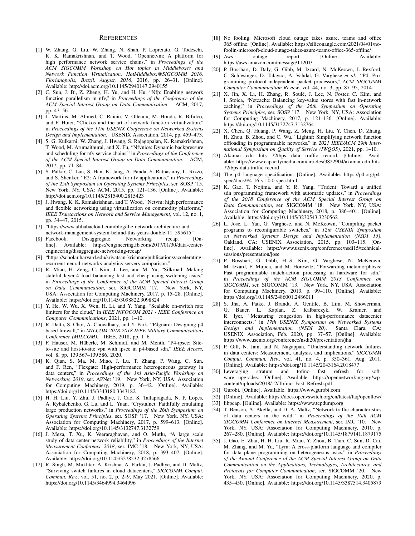#### **REFERENCES**

- [1] W. Zhang, G. Liu, W. Zhang, N. Shah, P. Lopreiato, G. Todeschi, K. K. Ramakrishnan, and T. Wood, "Opennetvm: A platform for high performance network service chains," in *Proceedings of the ACM SIGCOMM Workshop on Hot topics in Middleboxes and Network Function Virtualization, HotMiddlebox@SIGCOMM 2016, Florianopolis, Brazil, August, 2016*, 2016, pp. 26–31. [Online]. Available: http://doi.acm.org/10.1145/2940147.2940155
- [2] C. Sun, J. Bi, Z. Zheng, H. Yu, and H. Hu, "Nfp: Enabling network function parallelism in nfv," in *Proceedings of the Conference of the ACM Special Interest Group on Data Communication*. ACM, 2017, pp. 43–56.
- [3] J. Martins, M. Ahmed, C. Raiciu, V. Olteanu, M. Honda, R. Bifulco, and F. Huici, "Clickos and the art of network function virtualization," in *Proceedings of the 11th USENIX Conference on Networked Systems Design and Implementation*. USENIX Association, 2014, pp. 459–473.
- [4] S. G. Kulkarni, W. Zhang, J. Hwang, S. Rajagopalan, K. Ramakrishnan, T. Wood, M. Arumaithurai, and X. Fu, "Nfvnice: Dynamic backpressure and scheduling for nfv service chains," in *Proceedings of the Conference of the ACM Special Interest Group on Data Communication*. ACM, 2017, pp. 71–84.
- [5] S. Palkar, C. Lan, S. Han, K. Jang, A. Panda, S. Ratnasamy, L. Rizzo, and S. Shenker, "E2: A framework for nfv applications," in *Proceedings of the 25th Symposium on Operating Systems Principles*, ser. SOSP '15. New York, NY, USA: ACM, 2015, pp. 121–136. [Online]. Available: http://doi.acm.org/10.1145/2815400.2815423
- [6] J. Hwang, K. K. Ramakrishnan, and T. Wood, "Netvm: high performance and flexible networking using virtualization on commodity platforms," *IEEE Transactions on Network and Service Management*, vol. 12, no. 1, pp. 34–47, 2015.
- [7] "https://www.alibabacloud.com/blog/the-network-architecture-andnetwork-management-system-behind-this-years-double-11\_595615."
- [8] Facebook. Disaggregate: Networking recap. [Online]. Available: https://engineering.fb.com/2017/01/30/data-centerengineering/disaggregate-networking-recap/
- [9] "https://scholar.harvard.edu/srivatsan-krishnan/publications/acceleratingrecurrent-neural-networks-analytics-servers-comparison."
- [10] R. Miao, H. Zeng, C. Kim, J. Lee, and M. Yu, "Silkroad: Making stateful layer-4 load balancing fast and cheap using switching asics," in *Proceedings of the Conference of the ACM Special Interest Group on Data Communication*, ser. SIGCOMM '17. New York, NY, USA: Association for Computing Machinery, 2017, p. 15–28. [Online]. Available: https://doi.org/10.1145/3098822.3098824
- [11] Y. He, W. Wu, X. Wen, H. Li, and Y. Yang, "Scalable on-switch rate limiters for the cloud," in *IEEE INFOCOM 2021 - IEEE Conference on Computer Communications*, 2021, pp. 1–10.
- [12] R. Datta, S. Choi, A. Chowdhary, and Y. Park, "P4guard: Designing p4 based firewall," in *MILCOM 2018-2018 IEEE Military Communications Conference (MILCOM)*. IEEE, 2018, pp. 1–6.
- [13] F. Hauser, M. Häberle, M. Schmidt, and M. Menth, "P4-ipsec: Siteto-site and host-to-site vpn with ipsec in p4-based sdn," *IEEE Access*, vol. 8, pp. 139 567–139 586, 2020.
- [14] K. Qian, S. Ma, M. Miao, J. Lu, T. Zhang, P. Wang, C. Sun, and F. Ren, "Flexgate: High-performance heterogeneous gateway in data centers," in *Proceedings of the 3rd Asia-Pacific Workshop on Networking 2019*, ser. APNet '19. New York, NY, USA: Association for Computing Machinery, 2019, p. 36–42. [Online]. Available: https://doi.org/10.1145/3343180.3343182
- [15] H. H. Liu, Y. Zhu, J. Padhye, J. Cao, S. Tallapragada, N. P. Lopes, A. Rybalchenko, G. Lu, and L. Yuan, "Crystalnet: Faithfully emulating large production networks," in *Proceedings of the 26th Symposium on Operating Systems Principles*, ser. SOSP '17. New York, NY, USA: Association for Computing Machinery, 2017, p. 599–613. [Online]. Available: https://doi.org/10.1145/3132747.3132759
- [16] J. Meza, T. Xu, K. Veeraraghavan, and O. Mutlu, "A large scale study of data center network reliability," in *Proceedings of the Internet Measurement Conference 2018*, ser. IMC '18. New York, NY, USA: Association for Computing Machinery, 2018, p. 393–407. [Online]. Available: https://doi.org/10.1145/3278532.3278566
- [17] R. Singh, M. Mukhtar, A. Krishna, A. Parkhi, J. Padhye, and D. Maltz, "Surviving switch failures in cloud datacenters," *SIGCOMM Comput. Commun. Rev.*, vol. 51, no. 2, p. 2–9, May 2021. [Online]. Available: https://doi.org/10.1145/3464994.3464996
- [18] No fooling: Microsoft cloud outage takes azure, teams and office 365 offline. [Online]. Available: https://siliconangle.com/2021/04/01/nofoolin-microsoft-cloud-outage-takes-azure-teams-office-365-offline/
- [19] Aws outage report. [Online]. Available: https://aws.amazon.com/message/11201/
- [20] P. Bosshart, D. Daly, G. Gibb, M. Izzard, N. McKeown, J. Rexford, C. Schlesinger, D. Talayco, A. Vahdat, G. Varghese *et al.*, "P4: Programming protocol-independent packet processors," *ACM SIGCOMM Computer Communication Review*, vol. 44, no. 3, pp. 87–95, 2014.
- [21] X. Jin, X. Li, H. Zhang, R. Soulé, J. Lee, N. Foster, C. Kim, and I. Stoica, "Netcache: Balancing key-value stores with fast in-network caching," in *Proceedings of the 26th Symposium on Operating Systems Principles*, ser. SOSP '17. New York, NY, USA: Association for Computing Machinery, 2017, p. 121–136. [Online]. Available: https://doi.org/10.1145/3132747.3132764
- [22] X. Chen, Q. Huang, P. Wang, Z. Meng, H. Liu, Y. Chen, D. Zhang, H. Zhou, B. Zhou, and C. Wu, "Lightnf: Simplifying network function offloading in programmable networks," in *2021 IEEE/ACM 29th International Symposium on Quality of Service (IWQOS)*, 2021, pp. 1–10.
- [23] Akamai cdn hits 72tbps data traffic record. [Online]. Available: https://www.capacitymedia.com/articles/3822904/akamai-cdn-hits-72tbps-data-traffic-record
- [24] The p4 language specification. [Online]. Available: https://p4.org/p4 spec/docs/P4-16-v1.0.0-spec.html
- [25] K. Gao, T. Nojima, and Y. R. Yang, "Trident: Toward a unified sdn programming framework with automatic updates," in *Proceedings of the 2018 Conference of the ACM Special Interest Group on Data Communication*, ser. SIGCOMM '18. New York, NY, USA: Association for Computing Machinery, 2018, p. 386–401. [Online]. Available: https://doi.org/10.1145/3230543.3230562
- [26] L. Jose, L. Yan, G. Varghese, and N. McKeown, "Compiling packet programs to reconfigurable switches," in *12th USENIX Symposium on Networked Systems Design and Implementation (NSDI 15)*. Oakland, CA: USENIX Association, 2015, pp. 103–115. [Online]. Available: https://www.usenix.org/conference/nsdi15/technicalsessions/presentation/jose
- [27] P. Bosshart, G. Gibb, H.-S. Kim, G. Varghese, N. McKeown, M. Izzard, F. Mujica, and M. Horowitz, "Forwarding metamorphosis: Fast programmable match-action processing in hardware for sdn," in *Proceedings of the ACM SIGCOMM 2013 Conference on SIGCOMM*, ser. SIGCOMM '13. New York, NY, USA: Association for Computing Machinery, 2013, p. 99–110. [Online]. Available: https://doi.org/10.1145/2486001.2486011
- [28] S. Jha, A. Patke, J. Brandt, A. Gentile, B. Lim, M. Showerman, G. Bauer, L. Kaplan, Z. Kalbarczyk, W. Kramer, and R. Iyer, "Measuring congestion in high-performance datacenter interconnects," in *17th USENIX Symposium on Networked Systems Design and Implementation (NSDI 20)*. Santa Clara, CA: USENIX Association, Feb. 2020, pp. 37–57. [Online]. Available: https://www.usenix.org/conference/nsdi20/presentation/jha
- [29] P. Gill, N. Jain, and N. Nagappan, "Understanding network failures in data centers: Measurement, analysis, and implications," *SIGCOMM Comput. Commun. Rev.*, vol. 41, no. 4, p. 350–361, Aug. 2011. [Online]. Available: https://doi.org/10.1145/2043164.2018477
- [30] Leveraging stratum and tofino fast refresh for software upgrades. [Online]. Available: https://opennetworking.org/wpcontent/uploads/2018/12/Tofino\_Fast\_Refresh.pdf
- [31] Gurobi. [Online]. Available: https://www.gurobi.com
- [32] [Online]. Available: https://docs.openvswitch.org/en/latest/faq/openflow/
- [33] libpcap. [Online]. Available: https://www.tcpdump.org
- [34] T. Benson, A. Akella, and D. A. Maltz, "Network traffic characteristics of data centers in the wild," in *Proceedings of the 10th ACM SIGCOMM Conference on Internet Measurement*, ser. IMC '10. New York, NY, USA: Association for Computing Machinery, 2010, p. 267–280. [Online]. Available: https://doi.org/10.1145/1879141.1879175
- [35] J. Gao, E. Zhai, H. H. Liu, R. Miao, Y. Zhou, B. Tian, C. Sun, D. Cai, M. Zhang, and M. Yu, "Lyra: A cross-platform language and compiler for data plane programming on heterogeneous asics," in *Proceedings of the Annual Conference of the ACM Special Interest Group on Data Communication on the Applications, Technologies, Architectures, and Protocols for Computer Communication*, ser. SIGCOMM '20. New York, NY, USA: Association for Computing Machinery, 2020, p. 435–450. [Online]. Available: https://doi.org/10.1145/3387514.3405879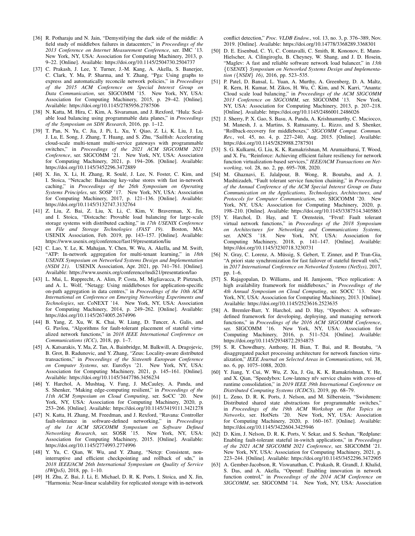- [36] R. Potharaju and N. Jain, "Demystifying the dark side of the middle: A field study of middlebox failures in datacenters," in *Proceedings of the* 2013 Conference on Internet Measurement Conference, ser. IMC New York, NY, USA: Association for Computing Machinery, 2013, p. 9–22. [Online]. Available: https://doi.org/10.1145/2504730.2504737
- [37] C. Prakash, J. Lee, Y. Turner, J.-M. Kang, A. Akella, S. Banerjee, C. Clark, Y. Ma, P. Sharma, and Y. Zhang, "Pga: Using graphs to express and automatically reconcile network policies," in *Proceedings of the 2015 ACM Conference on Special Interest Group on Data Communication*, ser. SIGCOMM '15. New York, NY, USA: Association for Computing Machinery, 2015, p. 29–42. [Online]. Available: https://doi.org/10.1145/2785956.2787506
- [38] N. Katta, M. Hira, C. Kim, A. Sivaraman, and J. Rexford, "Hula: Scalable load balancing using programmable data planes," in *Proceedings of the Symposium on SDN Research*, 2016, pp. 1–12.
- [39] T. Pan, N. Yu, C. Jia, J. Pi, L. Xu, Y. Qiao, Z. Li, K. Liu, J. Lu, J. Lu, E. Song, J. Zhang, T. Huang, and S. Zhu, "Sailfish: Accelerating cloud-scale multi-tenant multi-service gateways with programmable switches," in *Proceedings of the 2021 ACM SIGCOMM 2021 Conference*, ser. SIGCOMM '21. New York, NY, USA: Association for Computing Machinery, 2021, p. 194–206. [Online]. Available: https://doi.org/10.1145/3452296.3472889
- [40] X. Jin, X. Li, H. Zhang, R. Soulé, J. Lee, N. Foster, C. Kim, and I. Stoica, "Netcache: Balancing key-value stores with fast in-network caching," in *Proceedings of the 26th Symposium on Operating Systems Principles*, ser. SOSP '17. New York, NY, USA: Association for Computing Machinery, 2017, p. 121–136. [Online]. Available: https://doi.org/10.1145/3132747.3132764
- [41] Z. Liu, Z. Bai, Z. Liu, X. Li, C. Kim, V. Braverman, X. Jin, and I. Stoica, "Distcache: Provable load balancing for large-scale storage systems with distributed caching," in *17th USENIX Conference on File and Storage Technologies (FAST 19)*. Boston, MA: USENIX Association, Feb. 2019, pp. 143–157. [Online]. Available: https://www.usenix.org/conference/fast19/presentation/liu
- [42] C. Lao, Y. Le, K. Mahajan, Y. Chen, W. Wu, A. Akella, and M. Swift, "ATP: In-network aggregation for multi-tenant learning," in *18th USENIX Symposium on Networked Systems Design and Implementation (NSDI 21)*. USENIX Association, Apr. 2021, pp. 741–761. [Online]. Available: https://www.usenix.org/conference/nsdi21/presentation/lao
- [43] L. Mai, L. Rupprecht, A. Alim, P. Costa, M. Migliavacca, P. Pietzuch, and A. L. Wolf, "Netagg: Using middleboxes for application-specific on-path aggregation in data centres," in *Proceedings of the 10th ACM International on Conference on Emerging Networking Experiments and Technologies*, ser. CoNEXT '14. New York, NY, USA: Association for Computing Machinery, 2014, p. 249–262. [Online]. Available: https://doi.org/10.1145/2674005.2674996
- [44] B. Yang, Z. Xu, W. K. Chai, W. Liang, D. Tuncer, A. Galis, and G. Pavlou, "Algorithms for fault-tolerant placement of stateful virtualized network functions," in *2018 IEEE International Conference on Communications (ICC)*, 2018, pp. 1–7.
- [45] A. Katsarakis, Y. Ma, Z. Tan, A. Bainbridge, M. Balkwill, A. Dragojevic, B. Grot, B. Radunovic, and Y. Zhang, "Zeus: Locality-aware distributed transactions," in *Proceedings of the Sixteenth European Conference on Computer Systems*, ser. EuroSys '21. New York, NY, USA: Association for Computing Machinery, 2021, p. 145–161. [Online]. Available: https://doi.org/10.1145/3447786.3456234
- [46] Y. Harchol, A. Mushtaq, V. Fang, J. McCauley, A. Panda, and S. Shenker, "Making edge-computing resilient," in *Proceedings of the 11th ACM Symposium on Cloud Computing*, ser. SoCC '20. New York, NY, USA: Association for Computing Machinery, 2020, p. 253–266. [Online]. Available: https://doi.org/10.1145/3419111.3421278
- [47] N. Katta, H. Zhang, M. Freedman, and J. Rexford, "Ravana: Controller fault-tolerance in software-defined networking," in *Proceedings of the 1st ACM SIGCOMM Symposium on Software Defined Networking Research*, ser. SOSR '15. New York, NY, USA: Association for Computing Machinery, 2015. [Online]. Available: https://doi.org/10.1145/2774993.2774996
- [48] Y. Yu, C. Qian, W. Wu, and Y. Zhang, "Netcp: Consistent, noninterruptive and efficient checkpointing and rollback of sdn," in *2018 IEEE/ACM 26th International Symposium on Quality of Service (IWQoS)*, 2018, pp. 1–10.
- [49] H. Zhu, Z. Bai, J. Li, E. Michael, D. R. K. Ports, I. Stoica, and X. Jin, "Harmonia: Near-linear scalability for replicated storage with in-network

conflict detection," *Proc. VLDB Endow.*, vol. 13, no. 3, p. 376–389, Nov. 2019. [Online]. Available: https://doi.org/10.14778/3368289.3368301

- [50] D. E. Eisenbud, C. Yi, C. Contavalli, C. Smith, R. Kononov, E. Mann-Hielscher, A. Cilingiroglu, B. Cheyney, W. Shang, and J. D. Hosein, "Maglev: A fast and reliable software network load balancer," in *13th* {*USENIX*} *Symposium on Networked Systems Design and Implementation (*{*NSDI*} *16)*, 2016, pp. 523–535.
- [51] P. Patel, D. Bansal, L. Yuan, A. Murthy, A. Greenberg, D. A. Maltz, R. Kern, H. Kumar, M. Zikos, H. Wu, C. Kim, and N. Karri, "Ananta: Cloud scale load balancing," in *Proceedings of the ACM SIGCOMM 2013 Conference on SIGCOMM*, ser. SIGCOMM '13. New York, NY, USA: Association for Computing Machinery, 2013, p. 207–218. [Online]. Available: https://doi.org/10.1145/2486001.2486026
- [52] J. Sherry, P. X. Gao, S. Basu, A. Panda, A. Krishnamurthy, C. Maciocco, M. Manesh, J. a. Martins, S. Ratnasamy, L. Rizzo, and S. Shenker, "Rollback-recovery for middleboxes," *SIGCOMM Comput. Commun. Rev.*, vol. 45, no. 4, p. 227–240, Aug. 2015. [Online]. Available: https://doi.org/10.1145/2829988.2787501
- [53] S. G. Kulkarni, G. Liu, K. K. Ramakrishnan, M. Arumaithurai, T. Wood, and X. Fu, "Reinforce: Achieving efficient failure resiliency for network function virtualization-based services," *IEEE/ACM Transactions on Networking*, vol. 28, no. 2, pp. 695–708, 2020.
- [54] M. Ghaznavi, E. Jalalpour, B. Wong, R. Boutaba, and A. J. Mashtizadeh, "Fault tolerant service function chaining," in *Proceedings of the Annual Conference of the ACM Special Interest Group on Data Communication on the Applications, Technologies, Architectures, and Protocols for Computer Communication*, ser. SIGCOMM '20. New York, NY, USA: Association for Computing Machinery, 2020, p. 198–210. [Online]. Available: https://doi.org/10.1145/3387514.3405863
- [55] Y. Harchol, D. Hay, and T. Orenstein, "Ftvnf: Fault tolerant virtual network functions," in *Proceedings of the 2018 Symposium on Architectures for Networking and Communications Systems*, ser. ANCS '18. New York, NY, USA: Association for Computing Machinery, 2018, p. 141–147. [Online]. Available: https://doi.org/10.1145/3230718.3230731
- [56] N. Gray, C. Lorenz, A. Müssig, S. Gebert, T. Zinner, and P. Tran-Gia, "A priori state synchronization for fast failover of stateful firewall vnfs," in *2017 International Conference on Networked Systems (NetSys)*, 2017, pp. 1–6.
- [57] S. Rajagopalan, D. Williams, and H. Jamjoom, "Pico replication: A high availability framework for middleboxes," in *Proceedings of the 4th Annual Symposium on Cloud Computing*, ser. SOCC '13. New York, NY, USA: Association for Computing Machinery, 2013. [Online]. Available: https://doi.org/10.1145/2523616.2523635
- [58] A. Bremler-Barr, Y. Harchol, and D. Hay, "Openbox: A softwaredefined framework for developing, deploying, and managing network functions," in *Proceedings of the 2016 ACM SIGCOMM Conference*, ser. SIGCOMM '16. New York, NY, USA: Association for Computing Machinery, 2016, p. 511–524. [Online]. Available: https://doi.org/10.1145/2934872.2934875
- [59] S. R. Chowdhury, Anthony, H. Bian, T. Bai, and R. Boutaba, "A disaggregated packet processing architecture for network function virtualization," *IEEE Journal on Selected Areas in Communications*, vol. 38, no. 6, pp. 1075–1088, 2020.
- [60] Y. Jiang, Y. Cui, W. Wu, Z. Xu, J. Gu, K. K. Ramakrishnan, Y. He, and X. Qian, "Speedybox: Low-latency nfv service chains with cross-nf runtime consolidation," in *2019 IEEE 39th International Conference on Distributed Computing Systems (ICDCS)*, 2019, pp. 68–79.
- [61] L. Zeno, D. R. K. Ports, J. Nelson, and M. Silberstein, "Swishmem: Distributed shared state abstractions for programmable switches," in *Proceedings of the 19th ACM Workshop on Hot Topics in Networks*, ser. HotNets '20. New York, NY, USA: Association for Computing Machinery, 2020, p. 160–167. [Online]. Available: https://doi.org/10.1145/3422604.3425946
- [62] D. Kim, J. Nelson, D. R. K. Ports, V. Sekar, and S. Seshan, "Redplane: Enabling fault-tolerant stateful in-switch applications," in *Proceedings of the 2021 ACM SIGCOMM 2021 Conference*, ser. SIGCOMM '21. New York, NY, USA: Association for Computing Machinery, 2021, p. 223–244. [Online]. Available: https://doi.org/10.1145/3452296.3472905
- [63] A. Gember-Jacobson, R. Viswanathan, C. Prakash, R. Grandl, J. Khalid, S. Das, and A. Akella, "Opennf: Enabling innovation in network function control," in *Proceedings of the 2014 ACM Conference on SIGCOMM*, ser. SIGCOMM '14. New York, NY, USA: Association